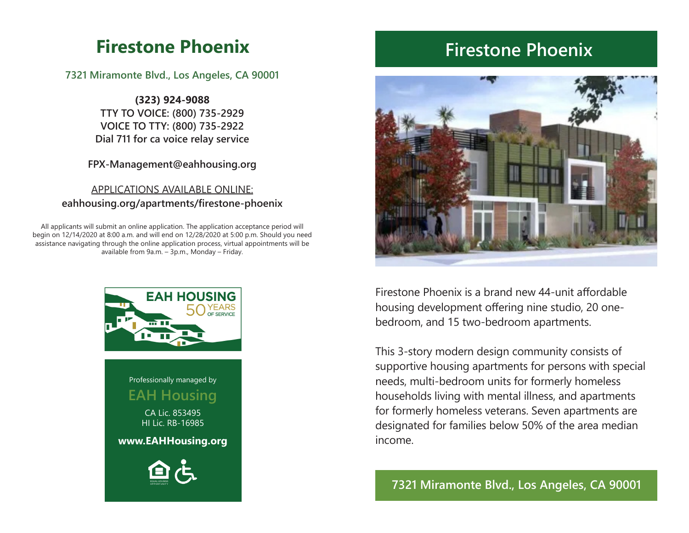# **Firestone Phoenix**

**7321 Miramonte Blvd., Los Angeles, CA 90001**

**(323) 924-9088 TTY TO VOICE: (800) 735-2929 VOICE TO TTY: (800) 735-2922 Dial 711 for ca voice relay service**

**FPX-Management@eahhousing.org**

## APPLICATIONS AVAILABLE ONLINE: **eahhousing.org/apartments/firestone-phoenix**

All applicants will submit an online application. The application acceptance period will begin on 12/14/2020 at 8:00 a.m. and will end on 12/28/2020 at 5:00 p.m. Should you need assistance navigating through the online application process, virtual appointments will be available from 9a.m. – 3p.m., Monday – Friday.



# **Firestone Phoenix**



Firestone Phoenix is a brand new 44-unit affordable housing development offering nine studio, 20 onebedroom, and 15 two-bedroom apartments.

This 3-story modern design community consists of supportive housing apartments for persons with special needs, multi-bedroom units for formerly homeless households living with mental illness, and apartments for formerly homeless veterans. Seven apartments are designated for families below 50% of the area median income.

# **7321 Miramonte Blvd., Los Angeles, CA 90001**